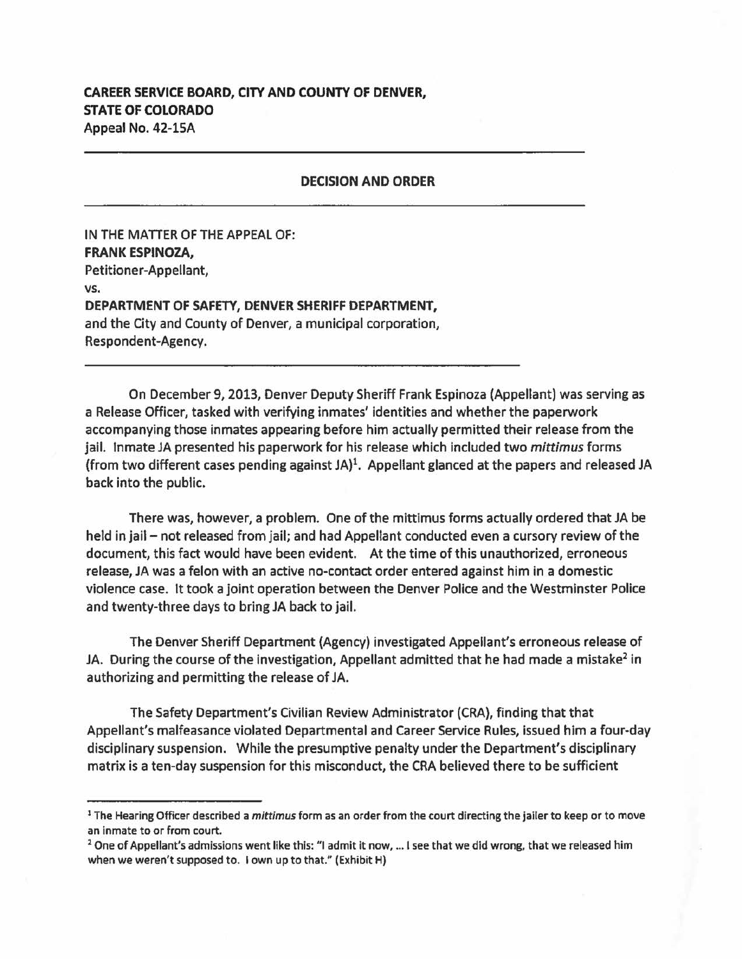## **CAREER SERVICE BOARD, CITY AND** COUNTY **OF DENVER, STATE OF COLORADO**  Appeal No. 42-lSA

## **DECISION AND ORDER**

IN THE MATTER OF THE APPEAL OF: **FRANK ESPINOZA,**  Petitioner-Appellant, vs. **DEPARTMENT OF SAFETY, DENVER SHERIFF DEPARTMENT,**  and the City and County of Denver, a municipal corporation, Respondent-Agency.

On December 9, 2013, Denver Deputy Sheriff Frank Espinoza (Appellant) was serving as a Release Officer, tasked with verifying inmates' identities and whether the paperwork accompanying those inmates appearing before him actually permitted their release from the jail. Inmate JA presented his paperwork for his release which included two *mittimus* forms (from two different cases pending against  $JA$ )<sup>1</sup>. Appellant glanced at the papers and released JA back into the public.

There **was,** however, a problem. One of the mittimus forms actually ordered that JA be held in jail - not released from jail; and had Appellant conducted even a cursory review of the document, this fact would have been evident. At the time of this unauthorized, erroneous release, JA was a felon with an active no-contact order entered against him in a domestic violence case. It took a joint operation between the Denver Police and the Westminster Police and twenty-three days to bring JA back to jail.

The Denver Sheriff Department (Agency) investigated Appellant's erroneous release of JA. During the course of the investigation, Appellant admitted that he had made a mistake<sup>2</sup> in authorizing and permitting the release of JA.

The Safety Department's Civilian Review Administrator (CRA), finding that that Appellant's malfeasance violated Departmental and Career Service Rules, issued him a four-day disciplinary suspension. While the presumptive penalty under the Department's disciplinary matrix is a ten-day suspension for this misconduct, the CRA believed there to be sufficient

<sup>1</sup>The Hearing Officer described a *mittimus* form as an order from the court directing the jailer to keep or to move an inmate to or from court.<br><sup>2</sup> One of Appellant's admissions went like this: "I admit it now, ... I see that we did wrong, that we released him

when we weren't supposed to. I own up to that." (Exhibit H)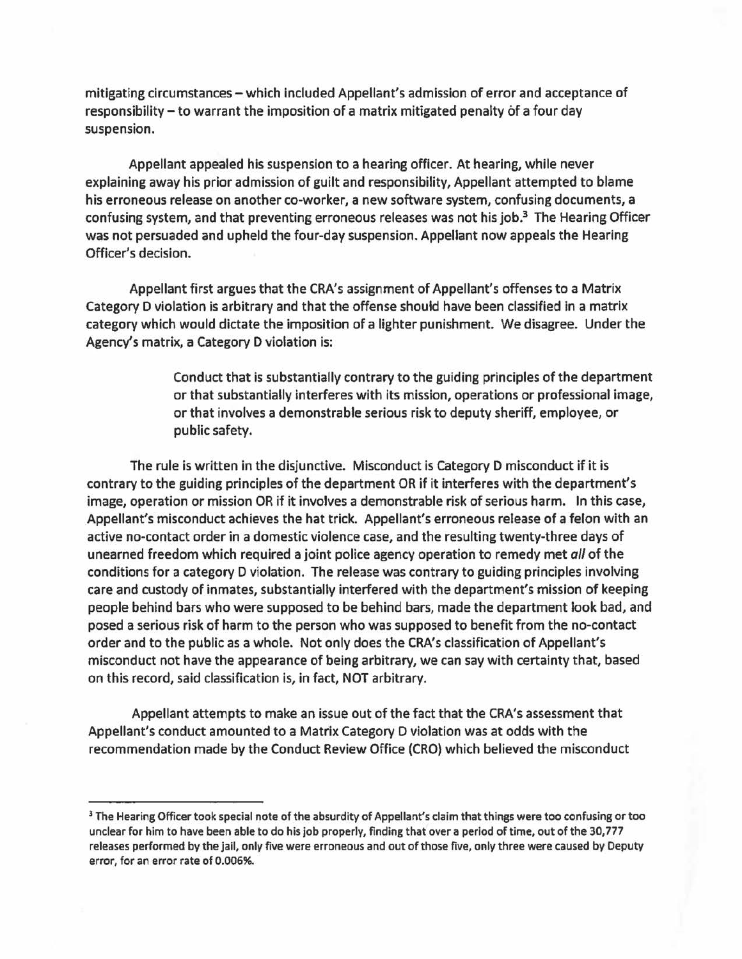mitigating circumstances - which included Appellant's admission of error and acceptance of responsibility - to warrant the imposition of a matrix mitigated penalty of a four day suspension.

Appellant appealed his suspension to a hearing officer. At hearing, while never explaining away his prior admission of guilt and responsibility, Appellant attempted to blame his erroneous release on another co-worker, a new software system, confusing documents, a confusing system, and that preventing erroneous releases was not his job. 3 The Hearing Officer was not persuaded and upheld the four-day suspension. Appellant now appeals the Hearing Officer's decision.

Appellant first argues that the CRA's assignment of Appellant's offenses to a Matrix Category D violation is arbitrary and that the offense should have been classified in a matrix category which would dictate the imposition of a lighter punishment. We disagree. Under the Agency's matrix, a Category D violation is:

> Conduct that is substantially contrary to the guiding principles of the department or that substantially interferes with its mission, operations or professional image, or that involves a demonstrable serious risk to deputy sheriff, employee, or public safety.

The rule is written in the disjunctive. Misconduct is Category D misconduct if it is contrary to the guiding principles of the department OR if it interferes with the department's image, operation or mission OR if it involves a demonstrable risk of serious harm. In this case, Appellant's misconduct achieves the hat trick. Appellant's erroneous release of a felon with an active no-contact order in a domestic violence case, and the resulting twenty-three days of unearned freedom which required a joint police agency operation to remedy met all of the conditions for a category D violation. The release was contrary to guiding principles involving care and custody of inmates, substantially interfered with the department's mission of keeping people behind bars who were supposed to be behind bars, made the department look bad, and posed a serious risk of harm to the person who was supposed to benefit from the no-contact order and to the public as a whole. Not only does the CRA's classification of Appellant's misconduct not have the appearance of being arbitrary, we can say with certainty that, based on this record, said classification is, in fact, NOT arbitrary.

Appellant attempts to make an issue out of the fact that the CRA's assessment that Appellant's conduct amounted to a Matrix Category D violation was at odds with the recommendation made by the Conduct Review Office (CRO) which believed the misconduct

<sup>&</sup>lt;sup>3</sup> The Hearing Officer took special note of the absurdity of Appellant's claim that things were too confusing or too unclear for him to have been able to do his job properly, finding that over a period of time, out of the 30,777 releases performed by the jail, only five were erroneous and out of those five, only three were caused by Deputy error, for an error rate of 0.006%.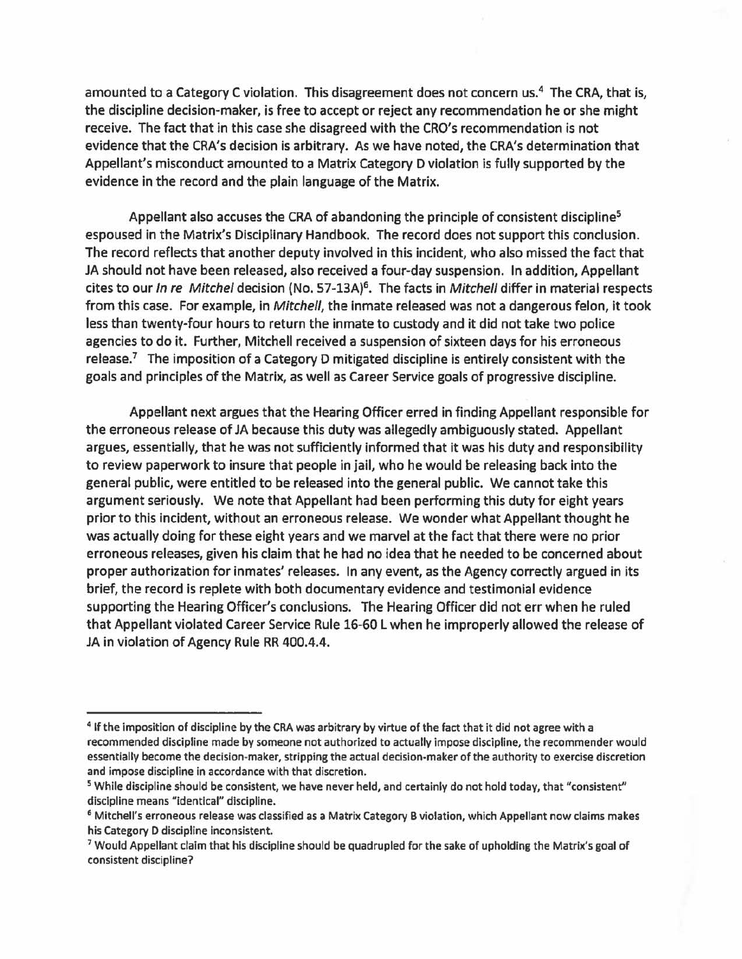amounted to a Category C violation. This disagreement does not concern us.<sup>4</sup> The CRA, that is, the discipline decision-maker, is free to accept or reject any recommendation he or she might receive. The fact that in this case she disagreed with the CRO's recommendation is not evidence that the CRA's decision is arbitrary. As we have noted, the CRA's determination that Appellant's misconduct amounted to a Matrix Category D violation is fully supported by the evidence in the record and the plain language of the Matrix.

Appellant also accuses the CRA of abandoning the principle of consistent discipline<sup>5</sup> espoused in the Matrix's Disciplinary Handbook. The record does not support this conclusion. The record reflects that another deputy involved in this incident, who also missed the fact that JA should not have been released, also received a four-day suspension. In addition, Appellant cites to our In re Mitchel decision (No. 57-13A)<sup>6</sup>. The facts in Mitchell differ in material respects from this case. For example, in Mitchell, the inmate released was not a dangerous felon, it took less than twenty-four hours to return the inmate to custody and it did not take two police agencies to do it. Further, Mitchell received a suspension of sixteen days for his erroneous release.<sup>7</sup> The imposition of a Category D mitigated discipline is entirely consistent with the goals and principles of the Matrix, as well as Career Service goals of progressive discipline.

Appellant next argues that the Hearing Officer erred in finding Appellant responsible for the erroneous release of JA because this duty was allegedly ambiguously stated. Appellant argues, essentially, that he was not sufficiently informed that it was his duty and responsibility to review paperwork to insure that people in jail, who he would be releasing back into the general public, were entitled to be released into the general public. We cannot take this argument seriously. We note that Appellant had been performing this duty for eight years prior to this incident, without an erroneous release. We wonder what Appellant thought he was actually doing for these eight years and we marvel at the fact that there were no prior erroneous releases, given his claim that he had no idea that he needed to be concerned about proper authorization for inmates' releases. In any event, as the Agency correctly argued in its brief, the record is replete with both documentary evidence and testimonial evidence supporting the Hearing Officer's conclusions. The Hearing Officer did not err when he ruled that Appellant violated Career Service Rule 16-60 L when he improperly allowed the release of JA in violation of Agency Rule RR 400.4.4.

<sup>&</sup>lt;sup>4</sup> If the imposition of discipline by the CRA was arbitrary by virtue of the fact that it did not agree with a recommended discipline made by someone not authorized to actually impose discipline, the recommender would essentially become the decision-maker, stripping the actual decision-maker of the authority to exercise discretion and impose discipline in accordance with that discretion.

<sup>&</sup>lt;sup>5</sup> While discipline should be consistent, we have never held, and certainly do not hold today, that "consistent" discipline means "identical" discipline.<br><sup>6</sup> Mitchell's erroneous release was classified as a Matrix Category B violation, which Appellant now claims makes

his Category D discipline inconsistent.<br><sup>7</sup> Would Appellant claim that his discipline should be quadrupled for the sake of upholding the Matrix's goal of

consistent discipline?